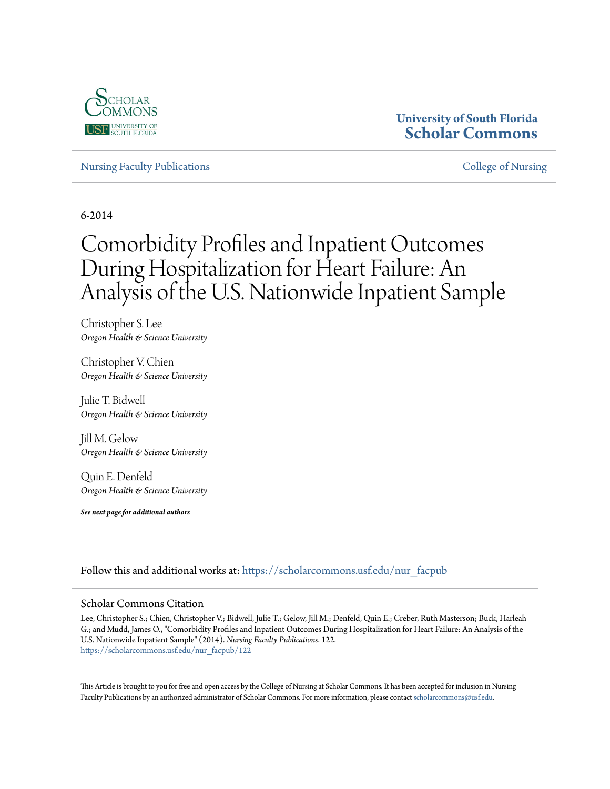

# **University of South Florida [Scholar Commons](https://scholarcommons.usf.edu?utm_source=scholarcommons.usf.edu%2Fnur_facpub%2F122&utm_medium=PDF&utm_campaign=PDFCoverPages)**

[Nursing Faculty Publications](https://scholarcommons.usf.edu/nur_facpub?utm_source=scholarcommons.usf.edu%2Fnur_facpub%2F122&utm_medium=PDF&utm_campaign=PDFCoverPages) **[College of Nursing](https://scholarcommons.usf.edu/nur?utm_source=scholarcommons.usf.edu%2Fnur_facpub%2F122&utm_medium=PDF&utm_campaign=PDFCoverPages)** College of Nursing

6-2014

# Comorbidity Profiles and Inpatient Outcomes During Hospitalization for Heart Failure: An Analysis of the U.S. Nationwide Inpatient Sample

Christopher S. Lee *Oregon Health & Science University*

Christopher V. Chien *Oregon Health & Science University*

Julie T. Bidwell *Oregon Health & Science University*

Jill M. Gelow *Oregon Health & Science University*

Quin E. Denfeld *Oregon Health & Science University*

*See next page for additional authors*

Follow this and additional works at: [https://scholarcommons.usf.edu/nur\\_facpub](https://scholarcommons.usf.edu/nur_facpub?utm_source=scholarcommons.usf.edu%2Fnur_facpub%2F122&utm_medium=PDF&utm_campaign=PDFCoverPages)

# Scholar Commons Citation

Lee, Christopher S.; Chien, Christopher V.; Bidwell, Julie T.; Gelow, Jill M.; Denfeld, Quin E.; Creber, Ruth Masterson; Buck, Harleah G.; and Mudd, James O., "Comorbidity Profiles and Inpatient Outcomes During Hospitalization for Heart Failure: An Analysis of the U.S. Nationwide Inpatient Sample" (2014). *Nursing Faculty Publications*. 122. [https://scholarcommons.usf.edu/nur\\_facpub/122](https://scholarcommons.usf.edu/nur_facpub/122?utm_source=scholarcommons.usf.edu%2Fnur_facpub%2F122&utm_medium=PDF&utm_campaign=PDFCoverPages)

This Article is brought to you for free and open access by the College of Nursing at Scholar Commons. It has been accepted for inclusion in Nursing Faculty Publications by an authorized administrator of Scholar Commons. For more information, please contact [scholarcommons@usf.edu.](mailto:scholarcommons@usf.edu)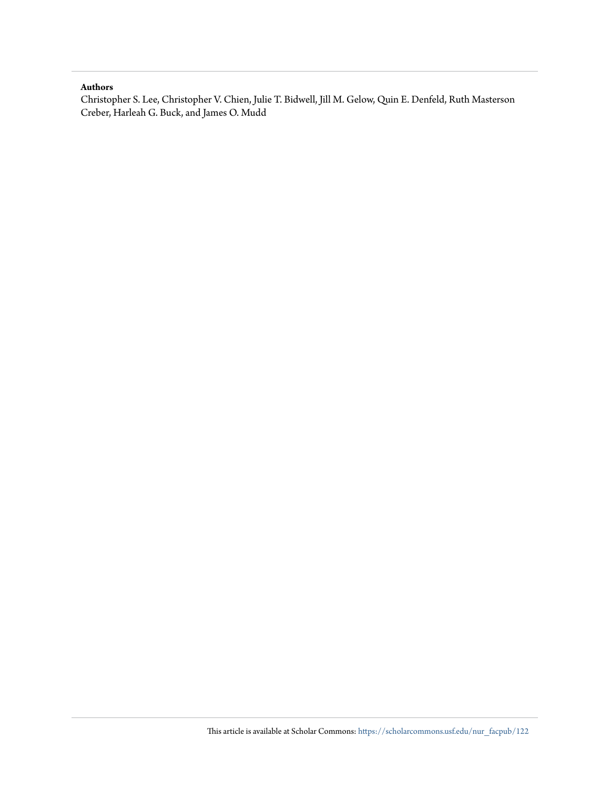# **Authors**

Christopher S. Lee, Christopher V. Chien, Julie T. Bidwell, Jill M. Gelow, Quin E. Denfeld, Ruth Masterson Creber, Harleah G. Buck, and James O. Mudd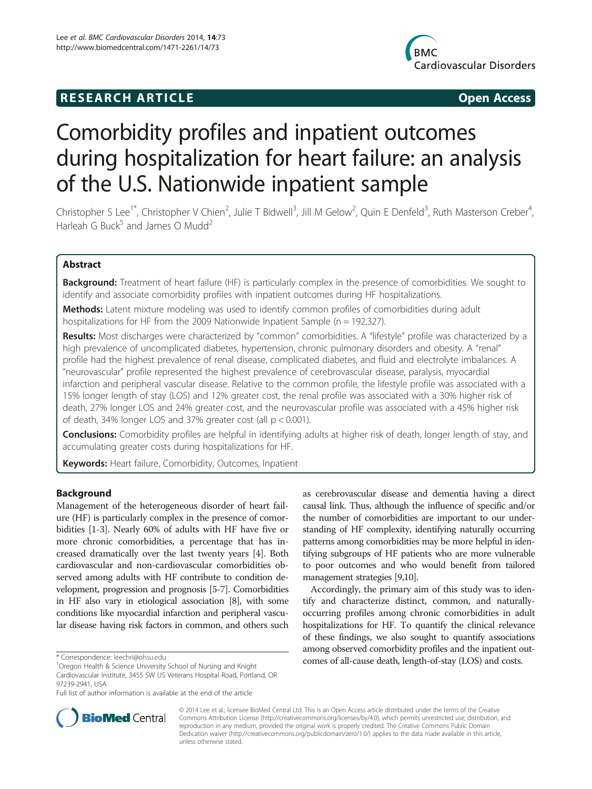# **RESEARCH ARTICLE Example 2014 CONSIDERING CONSIDERING CONSIDERING CONSIDERING CONSIDERING CONSIDERING CONSIDERING CONSIDERING CONSIDERING CONSIDERING CONSIDERING CONSIDERING CONSIDERING CONSIDERING CONSIDERING CONSIDE**



# Comorbidity profiles and inpatient outcomes during hospitalization for heart failure: an analysis of the U.S. Nationwide inpatient sample

Christopher S Lee<sup>1\*</sup>, Christopher V Chien<sup>2</sup>, Julie T Bidwell<sup>3</sup>, Jill M Gelow<sup>2</sup>, Quin E Denfeld<sup>3</sup>, Ruth Masterson Creber<sup>4</sup> , Harleah G Buck<sup>5</sup> and James O Mudd<sup>2</sup>

# Abstract

Background: Treatment of heart failure (HF) is particularly complex in the presence of comorbidities. We sought to identify and associate comorbidity profiles with inpatient outcomes during HF hospitalizations.

Methods: Latent mixture modeling was used to identify common profiles of comorbidities during adult hospitalizations for HF from the 2009 Nationwide Inpatient Sample ( $n = 192,327$ ).

Results: Most discharges were characterized by "common" comorbidities. A "lifestyle" profile was characterized by a high prevalence of uncomplicated diabetes, hypertension, chronic pulmonary disorders and obesity. A "renal" profile had the highest prevalence of renal disease, complicated diabetes, and fluid and electrolyte imbalances. A "neurovascular" profile represented the highest prevalence of cerebrovascular disease, paralysis, myocardial infarction and peripheral vascular disease. Relative to the common profile, the lifestyle profile was associated with a 15% longer length of stay (LOS) and 12% greater cost, the renal profile was associated with a 30% higher risk of death, 27% longer LOS and 24% greater cost, and the neurovascular profile was associated with a 45% higher risk of death, 34% longer LOS and 37% greater cost (all p < 0.001).

**Conclusions:** Comorbidity profiles are helpful in identifying adults at higher risk of death, longer length of stay, and accumulating greater costs during hospitalizations for HF.

Keywords: Heart failure, Comorbidity, Outcomes, Inpatient

# Background

Management of the heterogeneous disorder of heart failure (HF) is particularly complex in the presence of comorbidities [\[1](#page-9-0)-[3](#page-10-0)]. Nearly 60% of adults with HF have five or more chronic comorbidities, a percentage that has increased dramatically over the last twenty years [\[4](#page-10-0)]. Both cardiovascular and non-cardiovascular comorbidities observed among adults with HF contribute to condition development, progression and prognosis [[5-7](#page-10-0)]. Comorbidities in HF also vary in etiological association [\[8](#page-10-0)], with some conditions like myocardial infarction and peripheral vascular disease having risk factors in common, and others such

as cerebrovascular disease and dementia having a direct causal link. Thus, although the influence of specific and/or the number of comorbidities are important to our understanding of HF complexity, identifying naturally occurring patterns among comorbidities may be more helpful in identifying subgroups of HF patients who are more vulnerable to poor outcomes and who would benefit from tailored management strategies [\[9,10](#page-10-0)].

Accordingly, the primary aim of this study was to identify and characterize distinct, common, and naturallyoccurring profiles among chronic comorbidities in adult hospitalizations for HF. To quantify the clinical relevance of these findings, we also sought to quantify associations among observed comorbidity profiles and the inpatient out\* Correspondence: [leechri@ohsu.edu](mailto:leechri@ohsu.edu) **1999** comes of all-cause death, length-of-stay (LOS) and costs.



© 2014 Lee et al.; licensee BioMed Central Ltd. This is an Open Access article distributed under the terms of the Creative Commons Attribution License [\(http://creativecommons.org/licenses/by/4.0\)](http://creativecommons.org/licenses/by/4.0), which permits unrestricted use, distribution, and reproduction in any medium, provided the original work is properly credited. The Creative Commons Public Domain Dedication waiver [\(http://creativecommons.org/publicdomain/zero/1.0/](http://creativecommons.org/publicdomain/zero/1.0/)) applies to the data made available in this article, unless otherwise stated.

<sup>&</sup>lt;sup>1</sup> Oregon Health & Science University School of Nursing and Knight Cardiovascular Institute, 3455 SW US Veterans Hospital Road, Portland, OR 97239-2941, USA

Full list of author information is available at the end of the article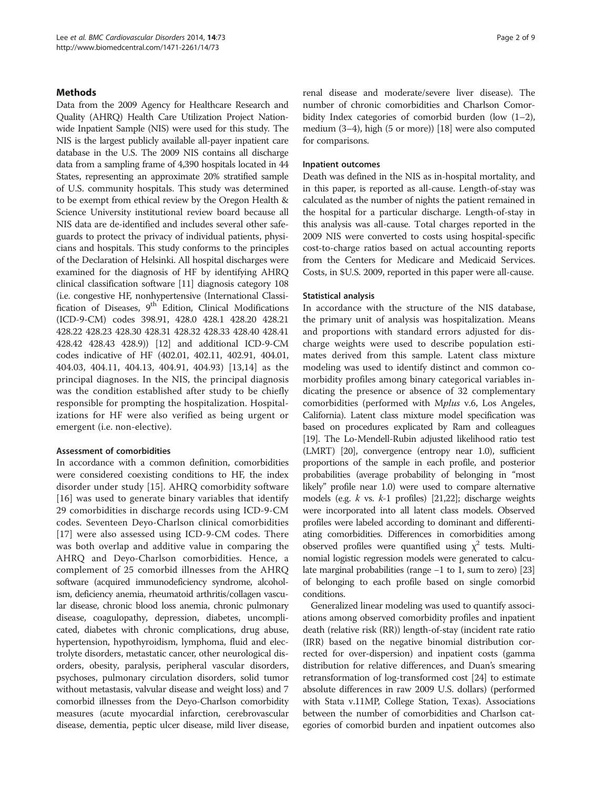## Methods

Data from the 2009 Agency for Healthcare Research and Quality (AHRQ) Health Care Utilization Project Nationwide Inpatient Sample (NIS) were used for this study. The NIS is the largest publicly available all-payer inpatient care database in the U.S. The 2009 NIS contains all discharge data from a sampling frame of 4,390 hospitals located in 44 States, representing an approximate 20% stratified sample of U.S. community hospitals. This study was determined to be exempt from ethical review by the Oregon Health & Science University institutional review board because all NIS data are de-identified and includes several other safeguards to protect the privacy of individual patients, physicians and hospitals. This study conforms to the principles of the Declaration of Helsinki. All hospital discharges were examined for the diagnosis of HF by identifying AHRQ clinical classification software [[11](#page-10-0)] diagnosis category 108 (i.e. congestive HF, nonhypertensive (International Classification of Diseases, 9<sup>th</sup> Edition, Clinical Modifications (ICD-9-CM) codes 398.91, 428.0 428.1 428.20 428.21 428.22 428.23 428.30 428.31 428.32 428.33 428.40 428.41 428.42 428.43 428.9)) [\[12\]](#page-10-0) and additional ICD-9-CM codes indicative of HF (402.01, 402.11, 402.91, 404.01, 404.03, 404.11, 404.13, 404.91, 404.93) [[13](#page-10-0),[14\]](#page-10-0) as the principal diagnoses. In the NIS, the principal diagnosis was the condition established after study to be chiefly responsible for prompting the hospitalization. Hospitalizations for HF were also verified as being urgent or emergent (i.e. non-elective).

### Assessment of comorbidities

In accordance with a common definition, comorbidities were considered coexisting conditions to HF, the index disorder under study [\[15](#page-10-0)]. AHRQ comorbidity software [[16\]](#page-10-0) was used to generate binary variables that identify 29 comorbidities in discharge records using ICD-9-CM codes. Seventeen Deyo-Charlson clinical comorbidities [[17\]](#page-10-0) were also assessed using ICD-9-CM codes. There was both overlap and additive value in comparing the AHRQ and Deyo-Charlson comorbidities. Hence, a complement of 25 comorbid illnesses from the AHRQ software (acquired immunodeficiency syndrome, alcoholism, deficiency anemia, rheumatoid arthritis/collagen vascular disease, chronic blood loss anemia, chronic pulmonary disease, coagulopathy, depression, diabetes, uncomplicated, diabetes with chronic complications, drug abuse, hypertension, hypothyroidism, lymphoma, fluid and electrolyte disorders, metastatic cancer, other neurological disorders, obesity, paralysis, peripheral vascular disorders, psychoses, pulmonary circulation disorders, solid tumor without metastasis, valvular disease and weight loss) and 7 comorbid illnesses from the Deyo-Charlson comorbidity measures (acute myocardial infarction, cerebrovascular disease, dementia, peptic ulcer disease, mild liver disease, renal disease and moderate/severe liver disease). The number of chronic comorbidities and Charlson Comorbidity Index categories of comorbid burden (low  $(1-2)$ , medium (3–4), high (5 or more)) [[18](#page-10-0)] were also computed for comparisons.

#### Inpatient outcomes

Death was defined in the NIS as in-hospital mortality, and in this paper, is reported as all-cause. Length-of-stay was calculated as the number of nights the patient remained in the hospital for a particular discharge. Length-of-stay in this analysis was all-cause. Total charges reported in the 2009 NIS were converted to costs using hospital-specific cost-to-charge ratios based on actual accounting reports from the Centers for Medicare and Medicaid Services. Costs, in \$U.S. 2009, reported in this paper were all-cause.

#### Statistical analysis

In accordance with the structure of the NIS database, the primary unit of analysis was hospitalization. Means and proportions with standard errors adjusted for discharge weights were used to describe population estimates derived from this sample. Latent class mixture modeling was used to identify distinct and common comorbidity profiles among binary categorical variables indicating the presence or absence of 32 complementary comorbidities (performed with Mplus v.6, Los Angeles, California). Latent class mixture model specification was based on procedures explicated by Ram and colleagues [[19](#page-10-0)]. The Lo-Mendell-Rubin adjusted likelihood ratio test (LMRT) [[20](#page-10-0)], convergence (entropy near 1.0), sufficient proportions of the sample in each profile, and posterior probabilities (average probability of belonging in "most likely" profile near 1.0) were used to compare alternative models (e.g.  $k$  vs.  $k-1$  profiles) [\[21,22\]](#page-10-0); discharge weights were incorporated into all latent class models. Observed profiles were labeled according to dominant and differentiating comorbidities. Differences in comorbidities among observed profiles were quantified using  $\chi^2$  tests. Multinomial logistic regression models were generated to calculate marginal probabilities (range −1 to 1, sum to zero) [\[23](#page-10-0)] of belonging to each profile based on single comorbid conditions.

Generalized linear modeling was used to quantify associations among observed comorbidity profiles and inpatient death (relative risk (RR)) length-of-stay (incident rate ratio (IRR) based on the negative binomial distribution corrected for over-dispersion) and inpatient costs (gamma distribution for relative differences, and Duan's smearing retransformation of log-transformed cost [\[24](#page-10-0)] to estimate absolute differences in raw 2009 U.S. dollars) (performed with Stata v.11MP, College Station, Texas). Associations between the number of comorbidities and Charlson categories of comorbid burden and inpatient outcomes also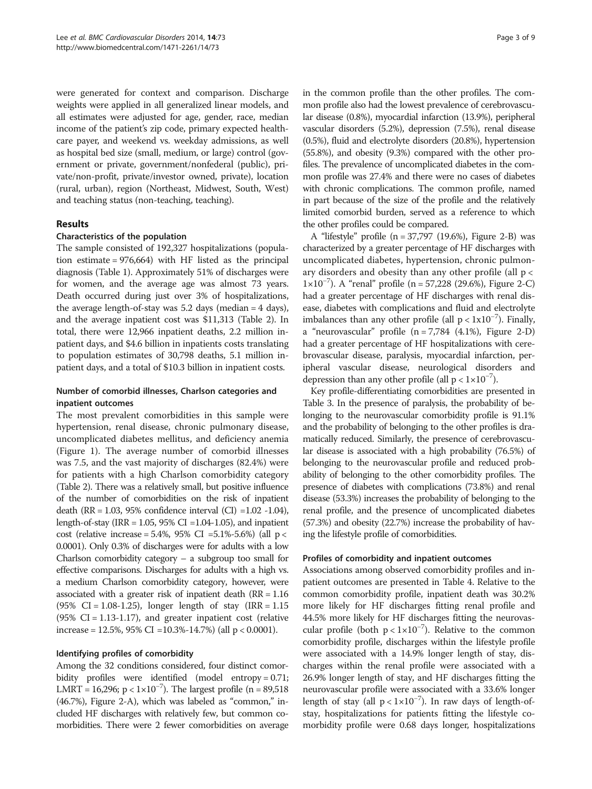were generated for context and comparison. Discharge weights were applied in all generalized linear models, and all estimates were adjusted for age, gender, race, median income of the patient's zip code, primary expected healthcare payer, and weekend vs. weekday admissions, as well as hospital bed size (small, medium, or large) control (government or private, government/nonfederal (public), private/non-profit, private/investor owned, private), location (rural, urban), region (Northeast, Midwest, South, West) and teaching status (non-teaching, teaching).

### Results

### Characteristics of the population

The sample consisted of 192,327 hospitalizations (population estimate = 976,664) with HF listed as the principal diagnosis (Table [1](#page-5-0)). Approximately 51% of discharges were for women, and the average age was almost 73 years. Death occurred during just over 3% of hospitalizations, the average length-of-stay was 5.2 days (median = 4 days), and the average inpatient cost was \$11,313 (Table [2\)](#page-5-0). In total, there were 12,966 inpatient deaths, 2.2 million inpatient days, and \$4.6 billion in inpatients costs translating to population estimates of 30,798 deaths, 5.1 million inpatient days, and a total of \$10.3 billion in inpatient costs.

#### Number of comorbid illnesses, Charlson categories and inpatient outcomes

The most prevalent comorbidities in this sample were hypertension, renal disease, chronic pulmonary disease, uncomplicated diabetes mellitus, and deficiency anemia (Figure [1\)](#page-6-0). The average number of comorbid illnesses was 7.5, and the vast majority of discharges (82.4%) were for patients with a high Charlson comorbidity category (Table [2\)](#page-5-0). There was a relatively small, but positive influence of the number of comorbidities on the risk of inpatient death (RR = 1.03, 95% confidence interval (CI) =  $1.02$  - $1.04$ ), length-of-stay (IRR =  $1.05$ , 95% CI =  $1.04$ - $1.05$ ), and inpatient cost (relative increase = 5.4%, 95% CI =5.1%-5.6%) (all p < 0.0001). Only 0.3% of discharges were for adults with a low Charlson comorbidity category – a subgroup too small for effective comparisons. Discharges for adults with a high vs. a medium Charlson comorbidity category, however, were associated with a greater risk of inpatient death  $(RR = 1.16$  $(95\% \text{ CI} = 1.08-1.25)$ , longer length of stay  $(IRR = 1.15$  $(95\% \text{ CI} = 1.13 - 1.17)$ , and greater inpatient cost (relative increase = 12.5%,  $95\%$  CI = 10.3%-14.7%) (all p < 0.0001).

### Identifying profiles of comorbidity

Among the 32 conditions considered, four distinct comorbidity profiles were identified (model entropy = 0.71; LMRT = 16,296;  $p < 1 \times 10^{-7}$ ). The largest profile (n = 89,518) (46.7%), Figure [2](#page-7-0)-A), which was labeled as "common," included HF discharges with relatively few, but common comorbidities. There were 2 fewer comorbidities on average in the common profile than the other profiles. The common profile also had the lowest prevalence of cerebrovascular disease (0.8%), myocardial infarction (13.9%), peripheral vascular disorders (5.2%), depression (7.5%), renal disease (0.5%), fluid and electrolyte disorders (20.8%), hypertension (55.8%), and obesity (9.3%) compared with the other profiles. The prevalence of uncomplicated diabetes in the common profile was 27.4% and there were no cases of diabetes with chronic complications. The common profile, named in part because of the size of the profile and the relatively limited comorbid burden, served as a reference to which the other profiles could be compared.

A "lifestyle" profile (n = 37,797 (19.6%), Figure [2-](#page-7-0)B) was characterized by a greater percentage of HF discharges with uncomplicated diabetes, hypertension, chronic pulmonary disorders and obesity than any other profile (all p < 1×10−<sup>7</sup> ). A "renal" profile (n = 57,228 (29.6%), Figure [2](#page-7-0)-C) had a greater percentage of HF discharges with renal disease, diabetes with complications and fluid and electrolyte imbalances than any other profile (all  $p < 1x10^{-7}$ ). Finally, a "neurovascular" profile  $(n = 7,784$   $(4.1\%)$ , Figure [2-](#page-7-0)D) had a greater percentage of HF hospitalizations with cerebrovascular disease, paralysis, myocardial infarction, peripheral vascular disease, neurological disorders and depression than any other profile (all  $p < 1 \times 10^{-7}$ ).

Key profile-differentiating comorbidities are presented in Table [3.](#page-7-0) In the presence of paralysis, the probability of belonging to the neurovascular comorbidity profile is 91.1% and the probability of belonging to the other profiles is dramatically reduced. Similarly, the presence of cerebrovascular disease is associated with a high probability (76.5%) of belonging to the neurovascular profile and reduced probability of belonging to the other comorbidity profiles. The presence of diabetes with complications (73.8%) and renal disease (53.3%) increases the probability of belonging to the renal profile, and the presence of uncomplicated diabetes (57.3%) and obesity (22.7%) increase the probability of having the lifestyle profile of comorbidities.

### Profiles of comorbidity and inpatient outcomes

Associations among observed comorbidity profiles and inpatient outcomes are presented in Table [4](#page-8-0). Relative to the common comorbidity profile, inpatient death was 30.2% more likely for HF discharges fitting renal profile and 44.5% more likely for HF discharges fitting the neurovascular profile (both  $p < 1 \times 10^{-7}$ ). Relative to the common comorbidity profile, discharges within the lifestyle profile were associated with a 14.9% longer length of stay, discharges within the renal profile were associated with a 26.9% longer length of stay, and HF discharges fitting the neurovascular profile were associated with a 33.6% longer length of stay (all  $p < 1 \times 10^{-7}$ ). In raw days of length-ofstay, hospitalizations for patients fitting the lifestyle comorbidity profile were 0.68 days longer, hospitalizations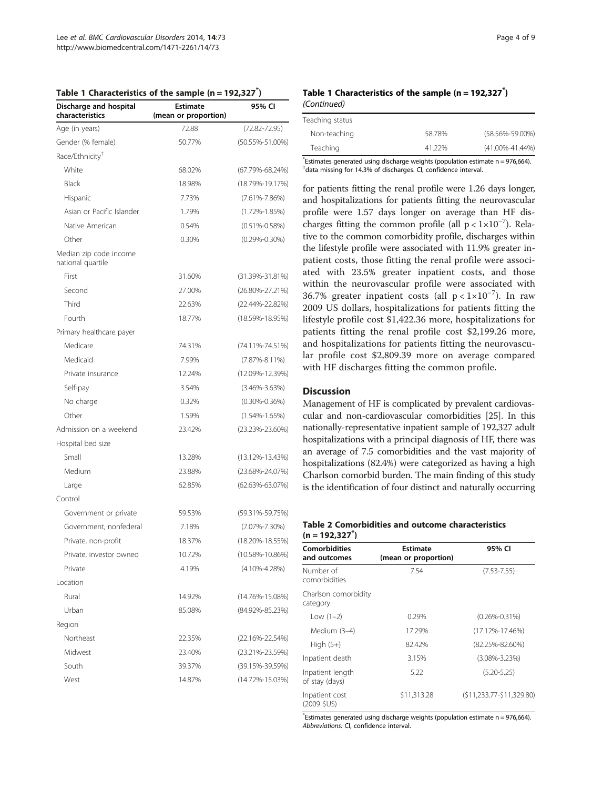<span id="page-5-0"></span>

| Table 1 Characteristics of the sample $(n = 192,327^*)$ |                                         |                       |  |  |
|---------------------------------------------------------|-----------------------------------------|-----------------------|--|--|
| Discharge and hospital<br>characteristics               | <b>Estimate</b><br>(mean or proportion) | 95% CI                |  |  |
| Age (in years)                                          | 72.88                                   | $(72.82 - 72.95)$     |  |  |
| Gender (% female)                                       | 50.77%                                  | $(50.55\% - 51.00\%)$ |  |  |
| Race/Ethnicity <sup>†</sup>                             |                                         |                       |  |  |
| White                                                   | 68.02%                                  | (67.79%-68.24%)       |  |  |
| Black                                                   | 18.98%                                  | $(18.79\% - 19.17\%)$ |  |  |
| Hispanic                                                | 7.73%                                   | $(7.61\% - 7.86\%)$   |  |  |
| Asian or Pacific Islander                               | 1.79%                                   | $(1.72\% - 1.85\%)$   |  |  |
| Native American                                         | 0.54%                                   | $(0.51\% - 0.58\%)$   |  |  |
| Other                                                   | 0.30%                                   | $(0.29\% - 0.30\%)$   |  |  |
| Median zip code income<br>national quartile             |                                         |                       |  |  |
| First                                                   | 31.60%                                  | (31.39%-31.81%)       |  |  |
| Second                                                  | 27.00%                                  | (26.80%-27.21%)       |  |  |
| Third                                                   | 22.63%                                  | (22.44%-22.82%)       |  |  |
| Fourth                                                  | 18.77%                                  | (18.59%-18.95%)       |  |  |
| Primary healthcare payer                                |                                         |                       |  |  |
| Medicare                                                | 74.31%                                  | $(74.11\% - 74.51\%)$ |  |  |
| Medicaid                                                | 7.99%                                   | $(7.87\% - 8.11\%)$   |  |  |
| Private insurance                                       | 12.24%                                  | $(12.09\% - 12.39\%)$ |  |  |
| Self-pay                                                | 3.54%                                   | $(3.46\% - 3.63\%)$   |  |  |
| No charge                                               | 0.32%                                   | $(0.30\% - 0.36\%)$   |  |  |
| Other                                                   | 1.59%                                   | $(1.54\% - 1.65\%)$   |  |  |
| Admission on a weekend                                  | 23.42%                                  | (23.23%-23.60%)       |  |  |
| Hospital bed size                                       |                                         |                       |  |  |
| Small                                                   | 13.28%                                  | $(13.12\% - 13.43\%)$ |  |  |
| Medium                                                  | 23.88%                                  | (23.68%-24.07%)       |  |  |
| Large                                                   | 62.85%                                  | $(62.63\% - 63.07\%)$ |  |  |
| Control                                                 |                                         |                       |  |  |
| Government or private                                   | 59.53%                                  | (59.31%-59.75%)       |  |  |
| Government, nonfederal                                  | 7.18%                                   | $(7.07\% - 7.30\%)$   |  |  |
| Private, non-profit                                     | 18.37%                                  | $(18.20\% - 18.55\%)$ |  |  |
| Private, investor owned                                 | 10.72%                                  | $(10.58\% - 10.86\%)$ |  |  |
| Private                                                 | 4.19%                                   | $(4.10\% - 4.28\%)$   |  |  |
| Location                                                |                                         |                       |  |  |
| Rural                                                   | 14.92%                                  | $(14.76\% - 15.08\%)$ |  |  |
| Urban                                                   | 85.08%                                  | (84.92%-85.23%)       |  |  |
| Region                                                  |                                         |                       |  |  |
| Northeast                                               | 22.35%                                  | (22.16%-22.54%)       |  |  |
| Midwest                                                 | 23.40%                                  | (23.21%-23.59%)       |  |  |
| South                                                   | 39.37%                                  | $(39.15\% - 39.59\%)$ |  |  |
| West                                                    | 14.87%                                  | $(14.72\% - 15.03\%)$ |  |  |
|                                                         |                                         |                       |  |  |

Table 1 Characteristics of the sample  $(n = 192, 327^*)$ (Continued)

| Teaching status |        |                       |
|-----------------|--------|-----------------------|
| Non-teaching    | 58.78% | $(58.56\% - 59.00\%)$ |
| Teaching        | 41.22% | $(41.00\% - 41.44\%)$ |

\* Estimates generated using discharge weights (population estimate n = 976,664). † data missing for 14.3% of discharges. CI, confidence interval.

for patients fitting the renal profile were 1.26 days longer, and hospitalizations for patients fitting the neurovascular profile were 1.57 days longer on average than HF discharges fitting the common profile (all  $p < 1 \times 10^{-7}$ ). Relative to the common comorbidity profile, discharges within the lifestyle profile were associated with 11.9% greater inpatient costs, those fitting the renal profile were associated with 23.5% greater inpatient costs, and those within the neurovascular profile were associated with 36.7% greater inpatient costs (all  $p < 1 \times 10^{-7}$ ). In raw 2009 US dollars, hospitalizations for patients fitting the lifestyle profile cost \$1,422.36 more, hospitalizations for patients fitting the renal profile cost \$2,199.26 more, and hospitalizations for patients fitting the neurovascular profile cost \$2,809.39 more on average compared with HF discharges fitting the common profile.

#### **Discussion**

Management of HF is complicated by prevalent cardiovascular and non-cardiovascular comorbidities [[25](#page-10-0)]. In this nationally-representative inpatient sample of 192,327 adult hospitalizations with a principal diagnosis of HF, there was an average of 7.5 comorbidities and the vast majority of hospitalizations (82.4%) were categorized as having a high Charlson comorbid burden. The main finding of this study is the identification of four distinct and naturally occurring

# Table 2 Comorbidities and outcome characteristics  $(n = 192, 327)$

| <b>Comorbidities</b><br>and outcomes | <b>Estimate</b><br>(mean or proportion) | 95% CI                        |  |
|--------------------------------------|-----------------------------------------|-------------------------------|--|
| Number of<br>comorbidities           | 7.54                                    | $(7.53 - 7.55)$               |  |
| Charlson comorbidity<br>category     |                                         |                               |  |
| Low $(1-2)$                          | 0.29%                                   | $(0.26\% - 0.31\%)$           |  |
| Medium (3-4)                         | 17.29%                                  | (17.12%-17.46%)               |  |
| High $(5+)$                          | 82.42%                                  | $(82.25\% - 82.60\%)$         |  |
| Inpatient death                      | 3.15%                                   | $(3.08\% - 3.23\%)$           |  |
| Inpatient length<br>of stay (days)   | 5.22                                    | $(5.20 - 5.25)$               |  |
| Inpatient cost<br>$(2009$ SUS)       | \$11,313.28                             | $(511, 233.77 - 511, 329.80)$ |  |

\* Estimates generated using discharge weights (population estimate n = 976,664). Abbreviations: CI, confidence interval.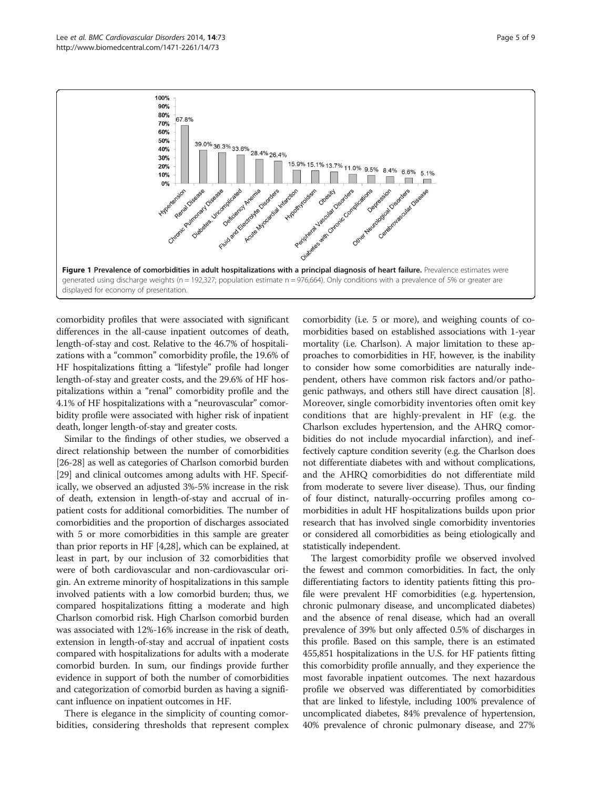<span id="page-6-0"></span>

comorbidity profiles that were associated with significant differences in the all-cause inpatient outcomes of death, length-of-stay and cost. Relative to the 46.7% of hospitalizations with a "common" comorbidity profile, the 19.6% of HF hospitalizations fitting a "lifestyle" profile had longer length-of-stay and greater costs, and the 29.6% of HF hospitalizations within a "renal" comorbidity profile and the 4.1% of HF hospitalizations with a "neurovascular" comorbidity profile were associated with higher risk of inpatient death, longer length-of-stay and greater costs.

Similar to the findings of other studies, we observed a direct relationship between the number of comorbidities [[26](#page-10-0)-[28](#page-10-0)] as well as categories of Charlson comorbid burden [[29](#page-10-0)] and clinical outcomes among adults with HF. Specifically, we observed an adjusted 3%-5% increase in the risk of death, extension in length-of-stay and accrual of inpatient costs for additional comorbidities. The number of comorbidities and the proportion of discharges associated with 5 or more comorbidities in this sample are greater than prior reports in HF [\[4,28\]](#page-10-0), which can be explained, at least in part, by our inclusion of 32 comorbidities that were of both cardiovascular and non-cardiovascular origin. An extreme minority of hospitalizations in this sample involved patients with a low comorbid burden; thus, we compared hospitalizations fitting a moderate and high Charlson comorbid risk. High Charlson comorbid burden was associated with 12%-16% increase in the risk of death, extension in length-of-stay and accrual of inpatient costs compared with hospitalizations for adults with a moderate comorbid burden. In sum, our findings provide further evidence in support of both the number of comorbidities and categorization of comorbid burden as having a significant influence on inpatient outcomes in HF.

There is elegance in the simplicity of counting comorbidities, considering thresholds that represent complex comorbidity (i.e. 5 or more), and weighing counts of comorbidities based on established associations with 1-year mortality (i.e. Charlson). A major limitation to these approaches to comorbidities in HF, however, is the inability to consider how some comorbidities are naturally independent, others have common risk factors and/or pathogenic pathways, and others still have direct causation [[8](#page-10-0)]. Moreover, single comorbidity inventories often omit key conditions that are highly-prevalent in HF (e.g. the Charlson excludes hypertension, and the AHRQ comorbidities do not include myocardial infarction), and ineffectively capture condition severity (e.g. the Charlson does not differentiate diabetes with and without complications, and the AHRQ comorbidities do not differentiate mild from moderate to severe liver disease). Thus, our finding of four distinct, naturally-occurring profiles among comorbidities in adult HF hospitalizations builds upon prior research that has involved single comorbidity inventories or considered all comorbidities as being etiologically and statistically independent.

The largest comorbidity profile we observed involved the fewest and common comorbidities. In fact, the only differentiating factors to identity patients fitting this profile were prevalent HF comorbidities (e.g. hypertension, chronic pulmonary disease, and uncomplicated diabetes) and the absence of renal disease, which had an overall prevalence of 39% but only affected 0.5% of discharges in this profile. Based on this sample, there is an estimated 455,851 hospitalizations in the U.S. for HF patients fitting this comorbidity profile annually, and they experience the most favorable inpatient outcomes. The next hazardous profile we observed was differentiated by comorbidities that are linked to lifestyle, including 100% prevalence of uncomplicated diabetes, 84% prevalence of hypertension, 40% prevalence of chronic pulmonary disease, and 27%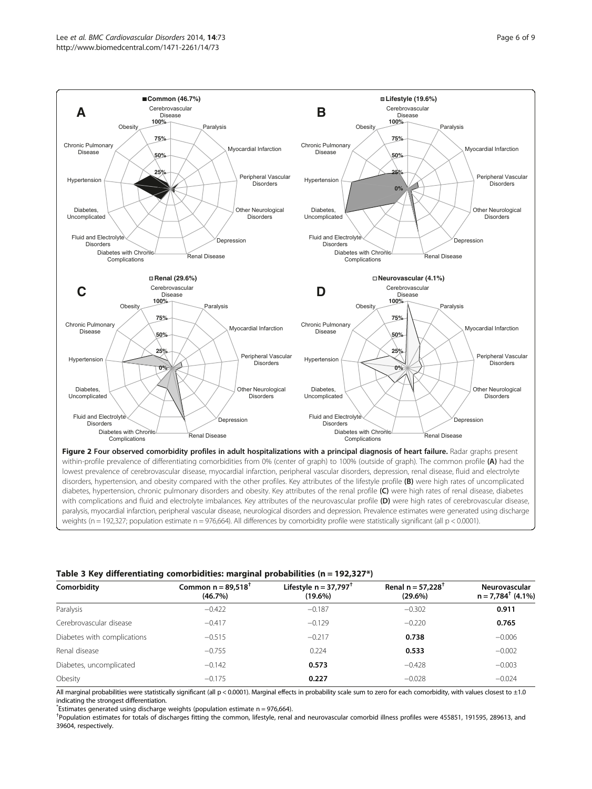<span id="page-7-0"></span>

Figure 2 Four observed comorbidity profiles in adult hospitalizations with a principal diagnosis of heart failure. Radar graphs present within-profile prevalence of differentiating comorbidities from 0% (center of graph) to 100% (outside of graph). The common profile (A) had the lowest prevalence of cerebrovascular disease, myocardial infarction, peripheral vascular disorders, depression, renal disease, fluid and electrolyte disorders, hypertension, and obesity compared with the other profiles. Key attributes of the lifestyle profile (B) were high rates of uncomplicated diabetes, hypertension, chronic pulmonary disorders and obesity. Key attributes of the renal profile (C) were high rates of renal disease, diabetes with complications and fluid and electrolyte imbalances. Key attributes of the neurovascular profile (D) were high rates of cerebrovascular disease, paralysis, myocardial infarction, peripheral vascular disease, neurological disorders and depression. Prevalence estimates were generated using discharge weights (n = 192,327; population estimate n = 976,664). All differences by comorbidity profile were statistically significant (all p < 0.0001).

#### Table 3 Key differentiating comorbidities: marginal probabilities (n = 192,327\*)

| Comorbidity                 | Common $n = 89,518^{T}$<br>(46.7%) | Lifestyle $n = 37.797$ <sup>†</sup><br>$(19.6\%)$ | Renal $n = 57,228$ <sup>†</sup><br>$(29.6\%)$ | Neurovascular<br>$n = 7.784^{\dagger}$ (4.1%) |
|-----------------------------|------------------------------------|---------------------------------------------------|-----------------------------------------------|-----------------------------------------------|
| Paralysis                   | $-0.422$                           | $-0.187$                                          | $-0.302$                                      | 0.911                                         |
| Cerebrovascular disease     | $-0.417$                           | $-0.129$                                          | $-0.220$                                      | 0.765                                         |
| Diabetes with complications | $-0.515$                           | $-0.217$                                          | 0.738                                         | $-0.006$                                      |
| Renal disease               | $-0.755$                           | 0.224                                             | 0.533                                         | $-0.002$                                      |
| Diabetes, uncomplicated     | $-0.142$                           | 0.573                                             | $-0.428$                                      | $-0.003$                                      |
| Obesity                     | $-0.175$                           | 0.227                                             | $-0.028$                                      | $-0.024$                                      |

All marginal probabilities were statistically significant (all p < 0.0001). Marginal effects in probability scale sum to zero for each comorbidity, with values closest to ±1.0 indicating the strongest differentiation.

\* Estimates generated using discharge weights (population estimate n = 976,664).

<sup>†</sup>Population estimates for totals of discharges fitting the common, lifestyle, renal and neurovascular comorbid illness profiles were 455851, 191595, 289613, and 39604, respectively.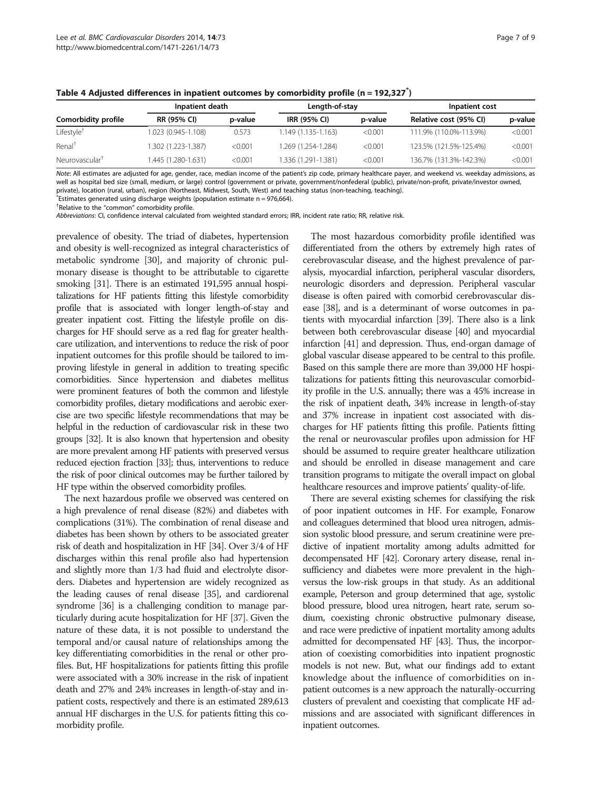|                            | Inpatient death     |         | Length-of-stay      |         | Inpatient cost         |         |
|----------------------------|---------------------|---------|---------------------|---------|------------------------|---------|
| Comorbidity profile        | <b>RR (95% CI)</b>  | p-value | IRR (95% CI)        | p-value | Relative cost (95% CI) | p-value |
| Lifestyle <sup>+</sup>     | 1.023 (0.945-1.108) | 0.573   | 1.149 (1.135-1.163) | < 0.001 | 111.9% (110.0%-113.9%) | < 0.001 |
| Renal <sup>†</sup>         | 1.302 (1.223-1.387) | < 0.001 | 1.269 (1.254-1.284) | < 0.001 | 123.5% (121.5%-125.4%) | < 0.001 |
| Neurovascular <sup>T</sup> | 1.445 (1.280-1.631) | < 0.001 | 1.336 (1.291-1.381) | < 0.001 | 136.7% (131.3%-142.3%) | < 0.001 |

<span id="page-8-0"></span>Table 4 Adjusted differences in inpatient outcomes by comorbidity profile (n = 192,327 $\check{ }$  )

Note: All estimates are adjusted for age, gender, race, median income of the patient's zip code, primary healthcare payer, and weekend vs. weekday admissions, as well as hospital bed size (small, medium, or large) control (government or private, government/nonfederal (public), private/non-profit, private/investor owned, private), location (rural, urban), region (Northeast, Midwest, South, West) and teaching status (non-teaching, teaching).

\* Estimates generated using discharge weights (population estimate n = 976,664).

† Relative to the "common" comorbidity profile.

Abbreviations: CI, confidence interval calculated from weighted standard errors; IRR, incident rate ratio; RR, relative risk.

prevalence of obesity. The triad of diabetes, hypertension and obesity is well-recognized as integral characteristics of metabolic syndrome [\[30\]](#page-10-0), and majority of chronic pulmonary disease is thought to be attributable to cigarette smoking [\[31\]](#page-10-0). There is an estimated 191,595 annual hospitalizations for HF patients fitting this lifestyle comorbidity profile that is associated with longer length-of-stay and greater inpatient cost. Fitting the lifestyle profile on discharges for HF should serve as a red flag for greater healthcare utilization, and interventions to reduce the risk of poor inpatient outcomes for this profile should be tailored to improving lifestyle in general in addition to treating specific comorbidities. Since hypertension and diabetes mellitus were prominent features of both the common and lifestyle comorbidity profiles, dietary modifications and aerobic exercise are two specific lifestyle recommendations that may be helpful in the reduction of cardiovascular risk in these two groups [\[32\]](#page-10-0). It is also known that hypertension and obesity are more prevalent among HF patients with preserved versus reduced ejection fraction [\[33](#page-10-0)]; thus, interventions to reduce the risk of poor clinical outcomes may be further tailored by HF type within the observed comorbidity profiles.

The next hazardous profile we observed was centered on a high prevalence of renal disease (82%) and diabetes with complications (31%). The combination of renal disease and diabetes has been shown by others to be associated greater risk of death and hospitalization in HF [\[34](#page-10-0)]. Over 3/4 of HF discharges within this renal profile also had hypertension and slightly more than 1/3 had fluid and electrolyte disorders. Diabetes and hypertension are widely recognized as the leading causes of renal disease [\[35\]](#page-10-0), and cardiorenal syndrome [[36\]](#page-10-0) is a challenging condition to manage particularly during acute hospitalization for HF [[37](#page-10-0)]. Given the nature of these data, it is not possible to understand the temporal and/or causal nature of relationships among the key differentiating comorbidities in the renal or other profiles. But, HF hospitalizations for patients fitting this profile were associated with a 30% increase in the risk of inpatient death and 27% and 24% increases in length-of-stay and inpatient costs, respectively and there is an estimated 289,613 annual HF discharges in the U.S. for patients fitting this comorbidity profile.

The most hazardous comorbidity profile identified was differentiated from the others by extremely high rates of cerebrovascular disease, and the highest prevalence of paralysis, myocardial infarction, peripheral vascular disorders, neurologic disorders and depression. Peripheral vascular disease is often paired with comorbid cerebrovascular disease [\[38](#page-10-0)], and is a determinant of worse outcomes in patients with myocardial infarction [\[39](#page-10-0)]. There also is a link between both cerebrovascular disease [\[40\]](#page-10-0) and myocardial infarction [[41](#page-10-0)] and depression. Thus, end-organ damage of global vascular disease appeared to be central to this profile. Based on this sample there are more than 39,000 HF hospitalizations for patients fitting this neurovascular comorbidity profile in the U.S. annually; there was a 45% increase in the risk of inpatient death, 34% increase in length-of-stay and 37% increase in inpatient cost associated with discharges for HF patients fitting this profile. Patients fitting the renal or neurovascular profiles upon admission for HF should be assumed to require greater healthcare utilization and should be enrolled in disease management and care transition programs to mitigate the overall impact on global healthcare resources and improve patients' quality-of-life.

There are several existing schemes for classifying the risk of poor inpatient outcomes in HF. For example, Fonarow and colleagues determined that blood urea nitrogen, admission systolic blood pressure, and serum creatinine were predictive of inpatient mortality among adults admitted for decompensated HF [[42\]](#page-10-0). Coronary artery disease, renal insufficiency and diabetes were more prevalent in the highversus the low-risk groups in that study. As an additional example, Peterson and group determined that age, systolic blood pressure, blood urea nitrogen, heart rate, serum sodium, coexisting chronic obstructive pulmonary disease, and race were predictive of inpatient mortality among adults admitted for decompensated HF [[43\]](#page-10-0). Thus, the incorporation of coexisting comorbidities into inpatient prognostic models is not new. But, what our findings add to extant knowledge about the influence of comorbidities on inpatient outcomes is a new approach the naturally-occurring clusters of prevalent and coexisting that complicate HF admissions and are associated with significant differences in inpatient outcomes.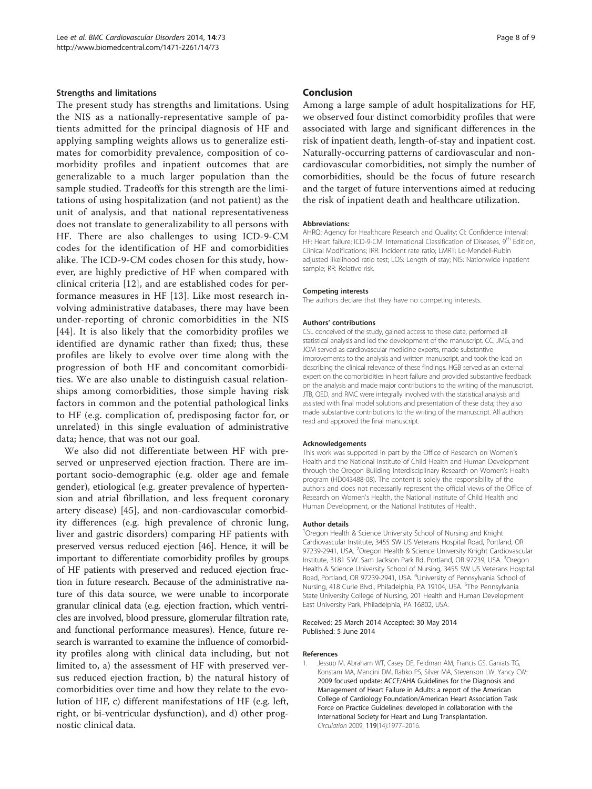#### <span id="page-9-0"></span>Strengths and limitations

The present study has strengths and limitations. Using the NIS as a nationally-representative sample of patients admitted for the principal diagnosis of HF and applying sampling weights allows us to generalize estimates for comorbidity prevalence, composition of comorbidity profiles and inpatient outcomes that are generalizable to a much larger population than the sample studied. Tradeoffs for this strength are the limitations of using hospitalization (and not patient) as the unit of analysis, and that national representativeness does not translate to generalizability to all persons with HF. There are also challenges to using ICD-9-CM codes for the identification of HF and comorbidities alike. The ICD-9-CM codes chosen for this study, however, are highly predictive of HF when compared with clinical criteria [[12](#page-10-0)], and are established codes for performance measures in HF [[13\]](#page-10-0). Like most research involving administrative databases, there may have been under-reporting of chronic comorbidities in the NIS [[44](#page-10-0)]. It is also likely that the comorbidity profiles we identified are dynamic rather than fixed; thus, these profiles are likely to evolve over time along with the progression of both HF and concomitant comorbidities. We are also unable to distinguish casual relationships among comorbidities, those simple having risk factors in common and the potential pathological links to HF (e.g. complication of, predisposing factor for, or unrelated) in this single evaluation of administrative data; hence, that was not our goal.

We also did not differentiate between HF with preserved or unpreserved ejection fraction. There are important socio-demographic (e.g. older age and female gender), etiological (e.g. greater prevalence of hypertension and atrial fibrillation, and less frequent coronary artery disease) [[45\]](#page-10-0), and non-cardiovascular comorbidity differences (e.g. high prevalence of chronic lung, liver and gastric disorders) comparing HF patients with preserved versus reduced ejection [[46](#page-10-0)]. Hence, it will be important to differentiate comorbidity profiles by groups of HF patients with preserved and reduced ejection fraction in future research. Because of the administrative nature of this data source, we were unable to incorporate granular clinical data (e.g. ejection fraction, which ventricles are involved, blood pressure, glomerular filtration rate, and functional performance measures). Hence, future research is warranted to examine the influence of comorbidity profiles along with clinical data including, but not limited to, a) the assessment of HF with preserved versus reduced ejection fraction, b) the natural history of comorbidities over time and how they relate to the evolution of HF, c) different manifestations of HF (e.g. left, right, or bi-ventricular dysfunction), and d) other prognostic clinical data.

#### Conclusion

Among a large sample of adult hospitalizations for HF, we observed four distinct comorbidity profiles that were associated with large and significant differences in the risk of inpatient death, length-of-stay and inpatient cost. Naturally-occurring patterns of cardiovascular and noncardiovascular comorbidities, not simply the number of comorbidities, should be the focus of future research and the target of future interventions aimed at reducing the risk of inpatient death and healthcare utilization.

#### Abbreviations:

AHRQ: Agency for Healthcare Research and Quality; CI: Confidence interval; HF: Heart failure; ICD-9-CM: International Classification of Diseases, 9<sup>th</sup> Edition, Clinical Modifications; IRR: Incident rate ratio; LMRT: Lo-Mendell-Rubin adjusted likelihood ratio test; LOS: Length of stay; NIS: Nationwide inpatient sample; RR: Relative risk.

#### Competing interests

The authors declare that they have no competing interests.

#### Authors' contributions

CSL conceived of the study, gained access to these data, performed all statistical analysis and led the development of the manuscript. CC, JMG, and JOM served as cardiovascular medicine experts, made substantive improvements to the analysis and written manuscript, and took the lead on describing the clinical relevance of these findings. HGB served as an external expert on the comorbidities in heart failure and provided substantive feedback on the analysis and made major contributions to the writing of the manuscript. JTB, QED, and RMC were integrally involved with the statistical analysis and assisted with final model solutions and presentation of these data; they also made substantive contributions to the writing of the manuscript. All authors read and approved the final manuscript.

#### Acknowledgements

This work was supported in part by the Office of Research on Women's Health and the National Institute of Child Health and Human Development through the Oregon Building Interdisciplinary Research on Women's Health program (HD043488-08). The content is solely the responsibility of the authors and does not necessarily represent the official views of the Office of Research on Women's Health, the National Institute of Child Health and Human Development, or the National Institutes of Health.

#### Author details

<sup>1</sup>Oregon Health & Science University School of Nursing and Knight Cardiovascular Institute, 3455 SW US Veterans Hospital Road, Portland, OR 97239-2941, USA. <sup>2</sup>Oregon Health & Science University Knight Cardiovascular Institute, 3181 S.W. Sam Jackson Park Rd, Portland, OR 97239, USA. <sup>3</sup>Oregon Health & Science University School of Nursing, 3455 SW US Veterans Hospital Road, Portland, OR 97239-2941, USA. <sup>4</sup>University of Pennsylvania School of Nursing, 418 Curie Blvd., Philadelphia, PA 19104, USA. <sup>5</sup>The Pennsylvania State University College of Nursing, 201 Health and Human Development East University Park, Philadelphia, PA 16802, USA.

#### Received: 25 March 2014 Accepted: 30 May 2014 Published: 5 June 2014

#### References

1. Jessup M, Abraham WT, Casey DE, Feldman AM, Francis GS, Ganiats TG, Konstam MA, Mancini DM, Rahko PS, Silver MA, Stevenson LW, Yancy CW: 2009 focused update: ACCF/AHA Guidelines for the Diagnosis and Management of Heart Failure in Adults: a report of the American College of Cardiology Foundation/American Heart Association Task Force on Practice Guidelines: developed in collaboration with the International Society for Heart and Lung Transplantation. Circulation 2009, 119(14):1977–2016.